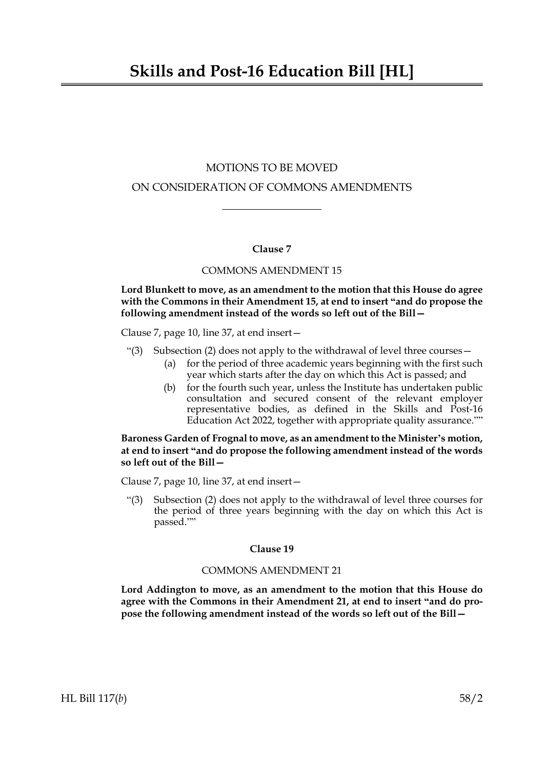# MOTIONS TO BE MOVED ON CONSIDERATION OF COMMONS AMENDMENTS

# **Clause 7**

#### COMMONS AMENDMENT 15

**Lord Blunkett to move, as an amendment to the motion that this House do agree with the Commons in their Amendment 15, at end to insert "and do propose the following amendment instead of the words so left out of the Bill—**

Clause 7, page 10, line 37, at end insert—

- "(3) Subsection (2) does not apply to the withdrawal of level three courses  $-$ 
	- (a) for the period of three academic years beginning with the first such year which starts after the day on which this Act is passed; and
	- (b) for the fourth such year, unless the Institute has undertaken public consultation and secured consent of the relevant employer representative bodies, as defined in the Skills and Post-16 Education Act 2022, together with appropriate quality assurance.""

### **Baroness Garden of Frognal to move, as an amendment to the Minister's motion, at end to insert "and do propose the following amendment instead of the words so left out of the Bill—**

Clause 7, page 10, line 37, at end insert—

"(3) Subsection (2) does not apply to the withdrawal of level three courses for the period of three years beginning with the day on which this Act is passed.""

#### **Clause 19**

#### COMMONS AMENDMENT 21

**Lord Addington to move, as an amendment to the motion that this House do agree with the Commons in their Amendment 21, at end to insert "and do propose the following amendment instead of the words so left out of the Bill—**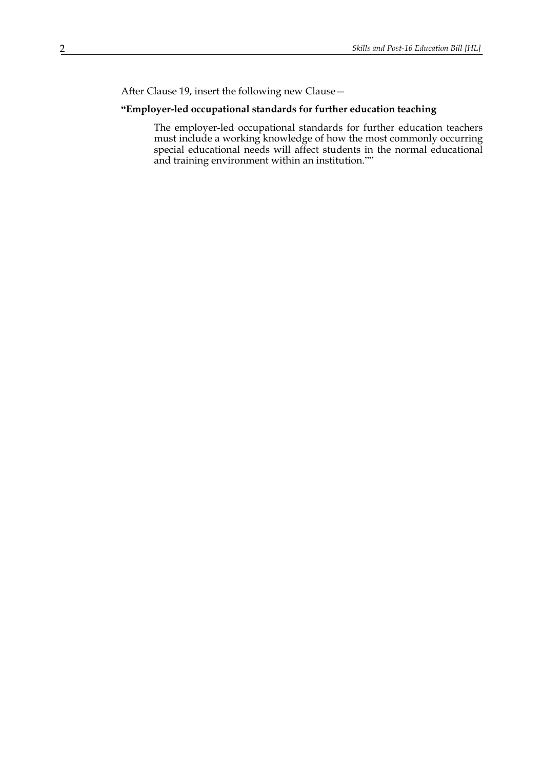After Clause 19, insert the following new Clause—

## **"Employer-led occupational standards for further education teaching**

The employer-led occupational standards for further education teachers must include a working knowledge of how the most commonly occurring special educational needs will affect students in the normal educational and training environment within an institution.""